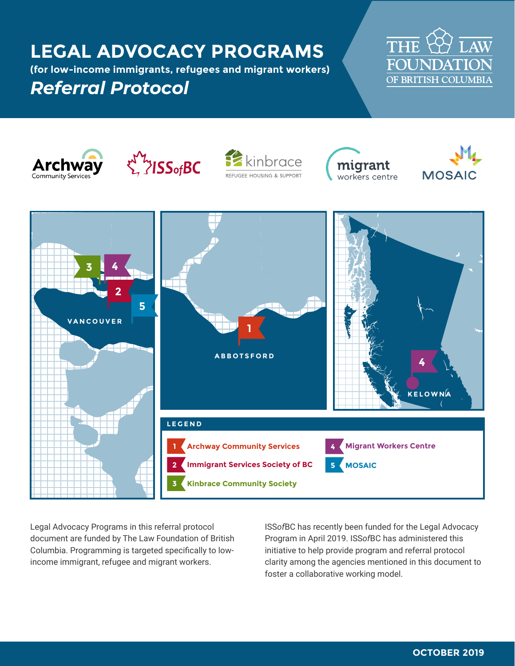# **LEGAL ADVOCACY PROGRAMS**

**(for low-income immigrants, refugees and migrant workers)**

# *Referral Protocol*















Legal Advocacy Programs in this referral protocol document are funded by The Law Foundation of British Columbia. Programming is targeted specifically to lowincome immigrant, refugee and migrant workers.

ISS*of*BC has recently been funded for the Legal Advocacy Program in April 2019. ISS*of*BC has administered this initiative to help provide program and referral protocol clarity among the agencies mentioned in this document to foster a collaborative working model.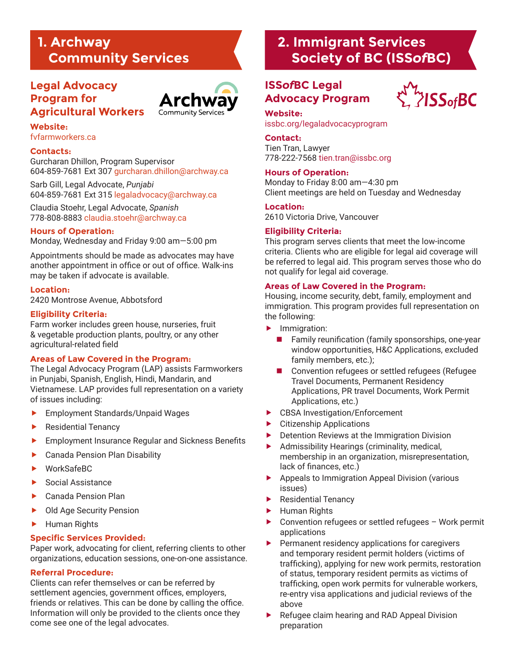## **1. Archway Community Services**

## **Legal Advocacy Program for Agricultural Workers**



## **Website:**

[fvfarmworkers.ca](http://fvfarmworkers.ca)

#### **Contacts:**

Gurcharan Dhillon, Program Supervisor 604-859-7681 Ext 307 [gurcharan.dhillon@archway.ca](mailto:gurcharan.dhillon@archway.ca)

Sarb Gill, Legal Advocate, *Punjabi* 604-859-7681 Ext 315 [legaladvocacy@archway.ca](mailto:legaladvocacy@archway.ca)

Claudia Stoehr, Legal Advocate, *Spanish* 778-808-8883 [claudia.stoehr@archway.ca](mailto:claudia.stoehr@archway.ca)

#### **Hours of Operation:**

Monday, Wednesday and Friday 9:00 am—5:00 pm

Appointments should be made as advocates may have another appointment in office or out of office. Walk-ins may be taken if advocate is available.

#### **Location:**

2420 Montrose Avenue, Abbotsford

#### **Eligibility Criteria:**

Farm worker includes green house, nurseries, fruit & vegetable production plants, poultry, or any other agricultural-related field

#### **Areas of Law Covered in the Program:**

The Legal Advocacy Program (LAP) assists Farmworkers in Punjabi, Spanish, English, Hindi, Mandarin, and Vietnamese. LAP provides full representation on a variety of issues including:

- **Employment Standards/Unpaid Wages**
- Residential Tenancy
- Employment Insurance Regular and Sickness Benefits
- Canada Pension Plan Disability
- WorkSafeBC
- Social Assistance
- Canada Pension Plan
- Old Age Security Pension
- **Human Rights**

#### **Specific Services Provided:**

Paper work, advocating for client, referring clients to other organizations, education sessions, one-on-one assistance.

#### **Referral Procedure:**

Clients can refer themselves or can be referred by settlement agencies, government offices, employers, friends or relatives. This can be done by calling the office. Information will only be provided to the clients once they come see one of the legal advocates.

## **2. Immigrant Services Society of BC (ISS***of***BC)**

## **ISS***of***BC Legal Advocacy Program**



#### **Website:**

[issbc.org/legaladvocacyprogram](http://issbc.org/legaladvocacyprogram)

#### **Contact:**

Tien Tran, Lawyer 778-222-7568 [tien.tran@issbc.org](mailto:tien.tran@issbc.org)

#### **Hours of Operation:**

Monday to Friday 8:00 am—4:30 pm Client meetings are held on Tuesday and Wednesday

#### **Location:**

2610 Victoria Drive, Vancouver

#### **Eligibility Criteria:**

This program serves clients that meet the low-income criteria. Clients who are eligible for legal aid coverage will be referred to legal aid. This program serves those who do not qualify for legal aid coverage.

#### **Areas of Law Covered in the Program:**

Housing, income security, debt, family, employment and immigration. This program provides full representation on the following:

- Immigration:
	- $\blacksquare$  Family reunification (family sponsorships, one-year window opportunities, H&C Applications, excluded family members, etc.);
	- Convention refugees or settled refugees (Refugee Travel Documents, Permanent Residency Applications, PR travel Documents, Work Permit Applications, etc.)
- ▶ CBSA Investigation/Enforcement
- ▶ Citizenship Applications
- Detention Reviews at the Immigration Division
- Admissibility Hearings (criminality, medical, membership in an organization, misrepresentation, lack of finances, etc.)
- Appeals to Immigration Appeal Division (various issues)
- Residential Tenancy
- **EXECUTE:** Human Rights
- Convention refugees or settled refugees Work permit applications
- Permanent residency applications for caregivers and temporary resident permit holders (victims of trafficking), applying for new work permits, restoration of status, temporary resident permits as victims of trafficking, open work permits for vulnerable workers, re-entry visa applications and judicial reviews of the above
- Refugee claim hearing and RAD Appeal Division preparation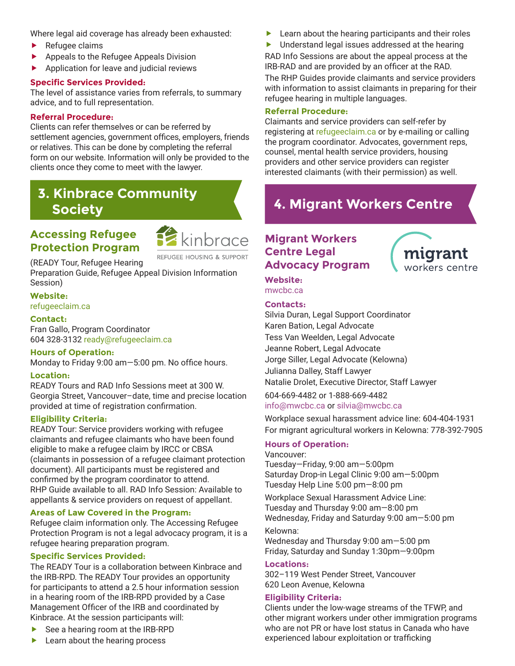Where legal aid coverage has already been exhausted:

- Refugee claims
- Appeals to the Refugee Appeals Division
- Application for leave and judicial reviews

#### **Specific Services Provided:**

The level of assistance varies from referrals, to summary advice, and to full representation.

#### **Referral Procedure:**

Clients can refer themselves or can be referred by settlement agencies, government offices, employers, friends or relatives. This can be done by completing the referral form on our website. Information will only be provided to the clients once they come to meet with the lawyer.

## **3. Kinbrace Community Society**

## **Accessing Refugee Protection Program**



REFUGEE HOUSING & SUPPORT

(READY Tour, Refugee Hearing Preparation Guide, Refugee Appeal Division Information Session)

#### **Website:** [refugeeclaim.ca](http://refugeeclaim.ca)

#### **Contact:**

Fran Gallo, Program Coordinator 604 328-3132 [ready@refugeeclaim.ca](mailto:Ready%40refugeeclaim.ca?subject=)

#### **Hours of Operation:**

Monday to Friday 9:00 am—5:00 pm. No office hours.

#### **Location:**

READY Tours and RAD Info Sessions meet at 300 W. Georgia Street, Vancouver–date, time and precise location provided at time of registration confirmation.

#### **Eligibility Criteria:**

READY Tour: Service providers working with refugee claimants and refugee claimants who have been found eligible to make a refugee claim by IRCC or CBSA (claimants in possession of a refugee claimant protection document). All participants must be registered and confirmed by the program coordinator to attend. RHP Guide available to all. RAD Info Session: Available to appellants & service providers on request of appellant.

#### **Areas of Law Covered in the Program:**

Refugee claim information only. The Accessing Refugee Protection Program is not a legal advocacy program, it is a refugee hearing preparation program.

#### **Specific Services Provided:**

The READY Tour is a collaboration between Kinbrace and the IRB-RPD. The READY Tour provides an opportunity for participants to attend a 2.5 hour information session in a hearing room of the IRB-RPD provided by a Case Management Officer of the IRB and coordinated by Kinbrace. At the session participants will:

- See a hearing room at the IRB-RPD
- Learn about the hearing process

Learn about the hearing participants and their roles

**Demographic Understand legal issues addressed at the hearing** RAD Info Sessions are about the appeal process at the IRB-RAD and are provided by an officer at the RAD.

The RHP Guides provide claimants and service providers with information to assist claimants in preparing for their refugee hearing in multiple languages.

#### **Referral Procedure:**

Claimants and service providers can self-refer by registering at [refugeeclaim.ca](http://refugeeclaim.ca) or by e-mailing or calling the program coordinator. Advocates, government reps, counsel, mental health service providers, housing providers and other service providers can register interested claimants (with their permission) as well.

# **4. Migrant Workers Centre**

## **Migrant Workers Centre Legal Advocacy Program**



**Website:** [mwcbc.ca](http://mwcbc.ca)

#### **Contacts:**

Silvia Duran, Legal Support Coordinator Karen Bation, Legal Advocate Tess Van Weelden, Legal Advocate Jeanne Robert, Legal Advocate Jorge Siller, Legal Advocate (Kelowna) Julianna Dalley, Staff Lawyer Natalie Drolet, Executive Director, Staff Lawyer

604-669-4482 or 1-888-669-4482 [info@mwcbc.ca](mailto:info@mwcbc.ca) or [silvia@mwcbc.ca](mailto:silvia@mwcbc.ca)

Workplace sexual harassment advice line: 604-404-1931 For migrant agricultural workers in Kelowna: 778-392-7905

## **Hours of Operation:**

#### Vancouver:

Tuesday—Friday, 9:00 am—5:00pm Saturday Drop-in Legal Clinic 9:00 am—5:00pm Tuesday Help Line 5:00 pm—8:00 pm

Workplace Sexual Harassment Advice Line: Tuesday and Thursday 9:00 am—8:00 pm Wednesday, Friday and Saturday 9:00 am—5:00 pm

#### Kelowna:

Wednesday and Thursday 9:00 am—5:00 pm Friday, Saturday and Sunday 1:30pm—9:00pm

#### **Locations:**

302–119 West Pender Street, Vancouver 620 Leon Avenue, Kelowna

#### **Eligibility Criteria:**

Clients under the low-wage streams of the TFWP, and other migrant workers under other immigration programs who are not PR or have lost status in Canada who have experienced labour exploitation or trafficking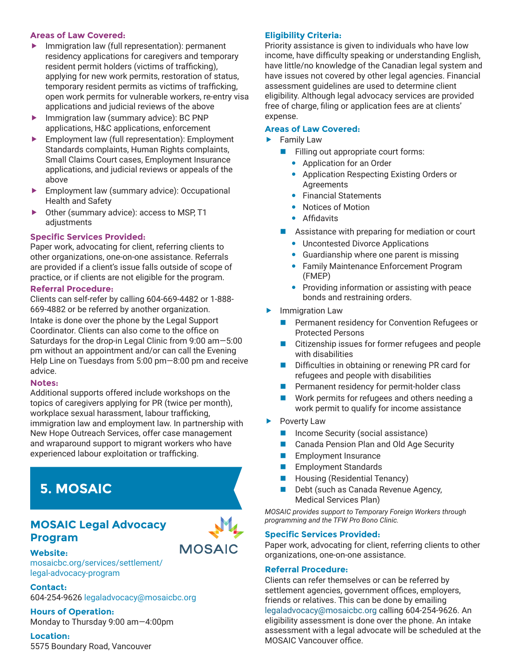#### **Areas of Law Covered:**

- Immigration law (full representation): permanent residency applications for caregivers and temporary resident permit holders (victims of trafficking), applying for new work permits, restoration of status, temporary resident permits as victims of trafficking, open work permits for vulnerable workers, re-entry visa applications and judicial reviews of the above
- Immigration law (summary advice): BC PNP applications, H&C applications, enforcement
- Employment law (full representation): Employment Standards complaints, Human Rights complaints, Small Claims Court cases, Employment Insurance applications, and judicial reviews or appeals of the above
- **Employment law (summary advice): Occupational** Health and Safety
- Other (summary advice): access to MSP, T1 adjustments

## **Specific Services Provided:**

Paper work, advocating for client, referring clients to other organizations, one-on-one assistance. Referrals are provided if a client's issue falls outside of scope of practice, or if clients are not eligible for the program.

### **Referral Procedure:**

Clients can self-refer by calling 604-669-4482 or 1-888- 669-4882 or be referred by another organization.

Intake is done over the phone by the Legal Support Coordinator. Clients can also come to the office on Saturdays for the drop-in Legal Clinic from 9:00 am—5:00 pm without an appointment and/or can call the Evening Help Line on Tuesdays from 5:00 pm—8:00 pm and receive advice.

## **Notes:**

Additional supports offered include workshops on the topics of caregivers applying for PR (twice per month), workplace sexual harassment, labour trafficking, immigration law and employment law. In partnership with New Hope Outreach Services, offer case management and wraparound support to migrant workers who have experienced labour exploitation or trafficking.

# **5. MOSAIC**

## **MOSAIC Legal Advocacy Program**



**Website:** [mosaicbc.org/services/settlement/](http://mosaicbc.org/services/settlement/legal-advocacy-program) [legal-advocacy-program](http://mosaicbc.org/services/settlement/legal-advocacy-program)

**Contact:** 604-254-9626 [legaladvocacy@mosaicbc.org](mailto:legaladvocacy@mosaicbc.org)

## **Hours of Operation:**

Monday to Thursday 9:00 am—4:00pm

## **Location:**

5575 Boundary Road, Vancouver

## **Eligibility Criteria:**

Priority assistance is given to individuals who have low income, have difficulty speaking or understanding English, have little/no knowledge of the Canadian legal system and have issues not covered by other legal agencies. Financial assessment guidelines are used to determine client eligibility. Although legal advocacy services are provided free of charge, filing or application fees are at clients' expense.

## **Areas of Law Covered:**

- Family Law
	- **n** Filling out appropriate court forms:
		- Application for an Order
		- Application Respecting Existing Orders or Agreements
		- Financial Statements
			- Notices of Motion
		- **•** Affidavits
	- $\blacksquare$  Assistance with preparing for mediation or court
		- Uncontested Divorce Applications
		- Guardianship where one parent is missing
		- Family Maintenance Enforcement Program (FMEP)
		- Providing information or assisting with peace bonds and restraining orders.
- Immigration Law
	- Permanent residency for Convention Refugees or Protected Persons
	- $\blacksquare$  Citizenship issues for former refugees and people with disabilities
	- $\blacksquare$  Difficulties in obtaining or renewing PR card for refugees and people with disabilities
	- Permanent residency for permit-holder class
	- Work permits for refugees and others needing a work permit to qualify for income assistance
- Poverty Law
	- Income Security (social assistance)
	- Canada Pension Plan and Old Age Security
	- **Employment Insurance**
	- **n** Employment Standards
	- Housing (Residential Tenancy)
	- Debt (such as Canada Revenue Agency, Medical Services Plan)

*MOSAIC provides support to Temporary Foreign Workers through programming and the TFW Pro Bono Clinic.*

## **Specific Services Provided:**

Paper work, advocating for client, referring clients to other organizations, one-on-one assistance.

## **Referral Procedure:**

Clients can refer themselves or can be referred by settlement agencies, government offices, employers, friends or relatives. This can be done by emailing [legaladvocacy@mosaicbc.org](mailto:legaladvocacy@mosaicbc.org) calling 604-254-9626. An eligibility assessment is done over the phone. An intake assessment with a legal advocate will be scheduled at the MOSAIC Vancouver office.